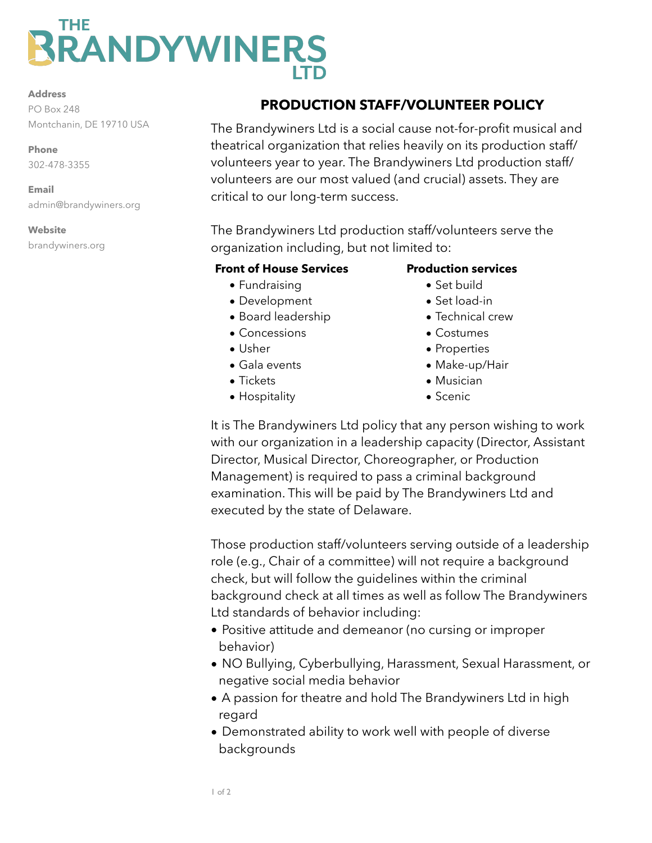# THE **RANDYWINERS**

#### **Address**

PO Box 248 Montchanin, DE 19710 USA

**Phone**  302-478-3355

**Email**  admin@brandywiners.org

### **Website**

brandywiners.org

# **PRODUCTION STAFF/VOLUNTEER POLICY**

The Brandywiners Ltd is a social cause not-for-profit musical and theatrical organization that relies heavily on its production staff/ volunteers year to year. The Brandywiners Ltd production staff/ volunteers are our most valued (and crucial) assets. They are critical to our long-term success.

The Brandywiners Ltd production staff/volunteers serve the organization including, but not limited to:

## **Front of House Services**

- Fundraising
- Development
- Board leadership
- Concessions
- Usher
- Gala events
- Tickets
- Hospitality

## **Production services**

- Set build
- Set load-in
- Technical crew
- Costumes
- Properties
- Make-up/Hair
- Musician
- Scenic

It is The Brandywiners Ltd policy that any person wishing to work with our organization in a leadership capacity (Director, Assistant Director, Musical Director, Choreographer, or Production Management) is required to pass a criminal background examination. This will be paid by The Brandywiners Ltd and executed by the state of Delaware.

Those production staff/volunteers serving outside of a leadership role (e.g., Chair of a committee) will not require a background check, but will follow the guidelines within the criminal background check at all times as well as follow The Brandywiners Ltd standards of behavior including:

- Positive attitude and demeanor (no cursing or improper behavior)
- NO Bullying, Cyberbullying, Harassment, Sexual Harassment, or negative social media behavior
- A passion for theatre and hold The Brandywiners Ltd in high regard
- Demonstrated ability to work well with people of diverse backgrounds